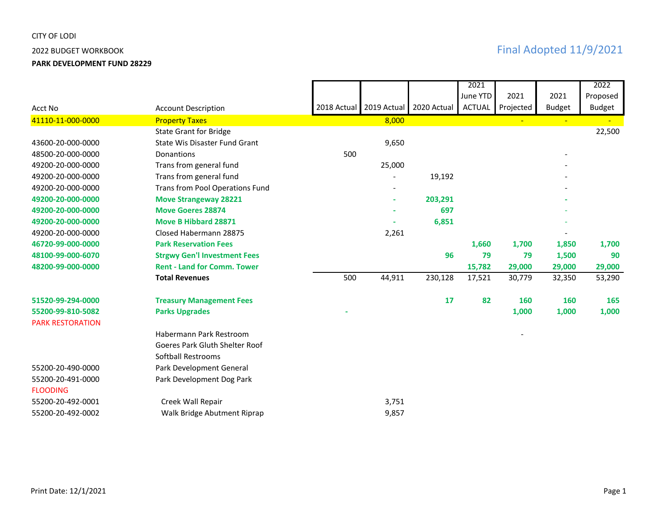## CITY OF LODI

**PARK DEVELOPMENT FUND 28229**

# PERSON ASSESSED AND RESERVE TO A SERIES AND RESERVE TO A SERIES AND RESERVE TO A SERIES AND RESERVE TO A SERIES AND RESERVE TO A SERIES AND RESERVE TO A SERIES AND RESERVE TO A SERIES AND RESERVE TO A SERIES AND RESERVE TO

|                         |                                      |             |             |             | 2021          |           |               | 2022          |
|-------------------------|--------------------------------------|-------------|-------------|-------------|---------------|-----------|---------------|---------------|
|                         |                                      |             |             |             | June YTD      | 2021      | 2021          | Proposed      |
| Acct No                 | <b>Account Description</b>           | 2018 Actual | 2019 Actual | 2020 Actual | <b>ACTUAL</b> | Projected | <b>Budget</b> | <b>Budget</b> |
| 41110-11-000-0000       | <b>Property Taxes</b>                |             | 8,000       |             |               |           |               |               |
|                         | <b>State Grant for Bridge</b>        |             |             |             |               |           |               | 22,500        |
| 43600-20-000-0000       | <b>State Wis Disaster Fund Grant</b> |             | 9,650       |             |               |           |               |               |
| 48500-20-000-0000       | Donantions                           | 500         |             |             |               |           |               |               |
| 49200-20-000-0000       | Trans from general fund              |             | 25,000      |             |               |           |               |               |
| 49200-20-000-0000       | Trans from general fund              |             |             | 19,192      |               |           |               |               |
| 49200-20-000-0000       | Trans from Pool Operations Fund      |             |             |             |               |           |               |               |
| 49200-20-000-0000       | <b>Move Strangeway 28221</b>         |             |             | 203,291     |               |           |               |               |
| 49200-20-000-0000       | <b>Move Goeres 28874</b>             |             |             | 697         |               |           |               |               |
| 49200-20-000-0000       | <b>Move B Hibbard 28871</b>          |             |             | 6,851       |               |           |               |               |
| 49200-20-000-0000       | Closed Habermann 28875               |             | 2,261       |             |               |           |               |               |
| 46720-99-000-0000       | <b>Park Reservation Fees</b>         |             |             |             | 1,660         | 1,700     | 1,850         | 1,700         |
| 48100-99-000-6070       | <b>Strgwy Gen'l Investment Fees</b>  |             |             | 96          | 79            | 79        | 1,500         | 90            |
| 48200-99-000-0000       | <b>Rent - Land for Comm. Tower</b>   |             |             |             | 15,782        | 29,000    | 29,000        | 29,000        |
|                         | <b>Total Revenues</b>                | 500         | 44,911      | 230,128     | 17,521        | 30,779    | 32,350        | 53,290        |
| 51520-99-294-0000       | <b>Treasury Management Fees</b>      |             |             | 17          | 82            | 160       | 160           | 165           |
| 55200-99-810-5082       | <b>Parks Upgrades</b>                |             |             |             |               | 1,000     | 1,000         | 1,000         |
| <b>PARK RESTORATION</b> |                                      |             |             |             |               |           |               |               |
|                         | Habermann Park Restroom              |             |             |             |               |           |               |               |
|                         | Goeres Park Gluth Shelter Roof       |             |             |             |               |           |               |               |
|                         | Softball Restrooms                   |             |             |             |               |           |               |               |
| 55200-20-490-0000       | Park Development General             |             |             |             |               |           |               |               |
| 55200-20-491-0000       | Park Development Dog Park            |             |             |             |               |           |               |               |
| <b>FLOODING</b>         |                                      |             |             |             |               |           |               |               |
| 55200-20-492-0001       | Creek Wall Repair                    |             | 3,751       |             |               |           |               |               |
| 55200-20-492-0002       | Walk Bridge Abutment Riprap          |             | 9,857       |             |               |           |               |               |